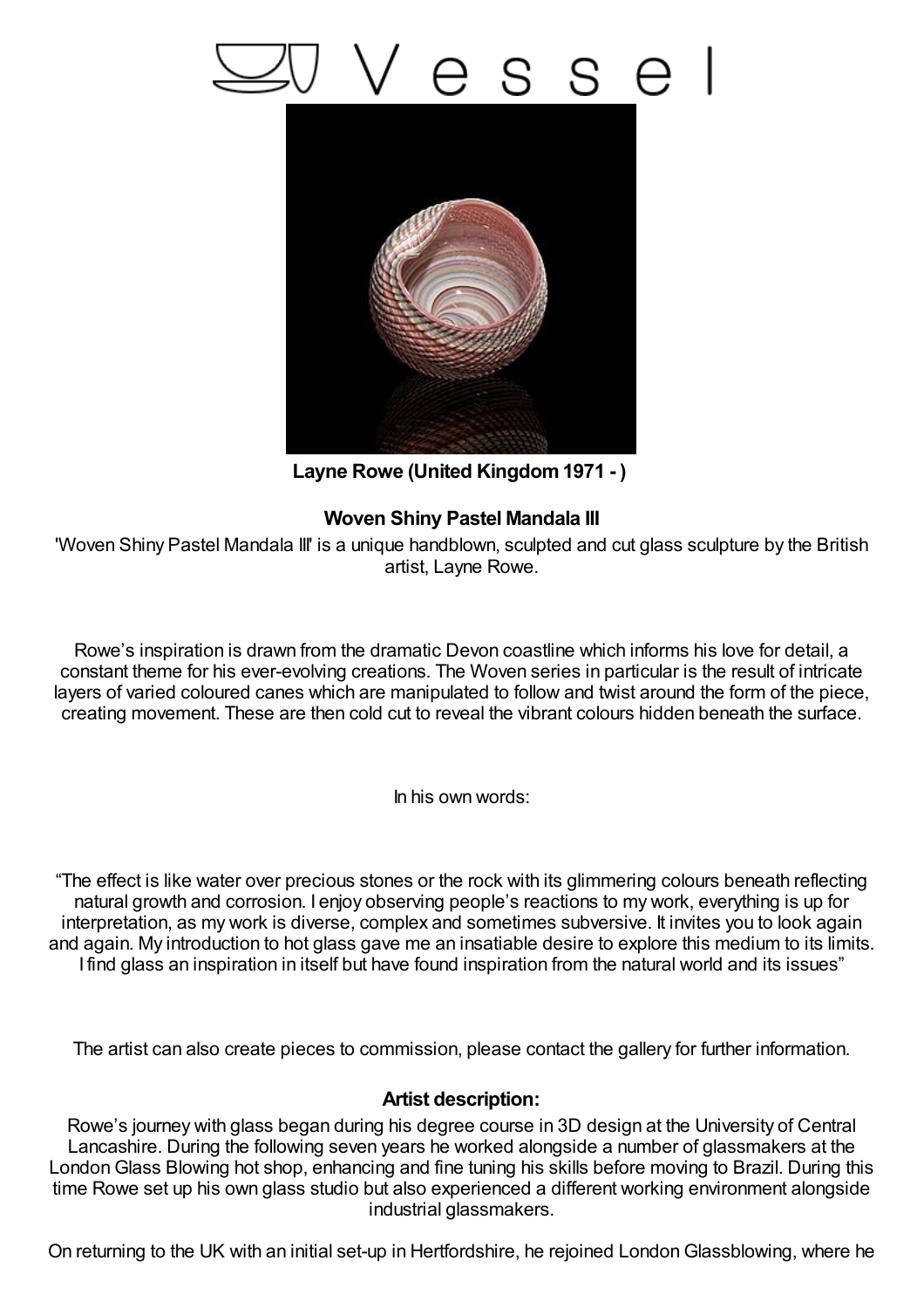## esse



**Layne Rowe (United Kingdom1971 - )**

## **Woven Shiny Pastel Mandala III**

'Woven Shiny Pastel Mandala III' is a unique handblown, sculpted and cut glass sculpture by the British artist, Layne Rowe.

Rowe's inspiration is drawn from the dramatic Devon coastline which informs his love for detail, a constant theme for his ever-evolving creations. The Woven series in particular is the result of intricate layers of varied coloured canes which are manipulated to follow and twist around the form of the piece, creating movement. These are then cold cut to reveal the vibrant colours hidden beneath the surface.

In his own words:

"The effect is like water over precious stones or the rock with its glimmering colours beneath reflecting natural growth and corrosion. I enjoy observing people's reactions to my work, everything is up for interpretation, as my work is diverse, complex and sometimes subversive. It invites you to look again and again. My introduction to hot glass gave me an insatiable desire to explore this medium to its limits. I find glass an inspiration in itself but have found inspiration from the natural world and its issues"

The artist can also create pieces to commission, please contact the gallery for further information.

## **Artist description:**

Rowe's journey with glass began during his degree course in 3D design at the University of Central Lancashire. During the following seven years he worked alongside a number of glassmakers at the LondonGlass Blowing hot shop, enhancing and fine tuning his skills before moving to Brazil. During this time Rowe set up his own glass studio but also experienced a different working environment alongside industrial glassmakers.

On returning to the UK with an initial set-up in Hertfordshire, he rejoined LondonGlassblowing, where he